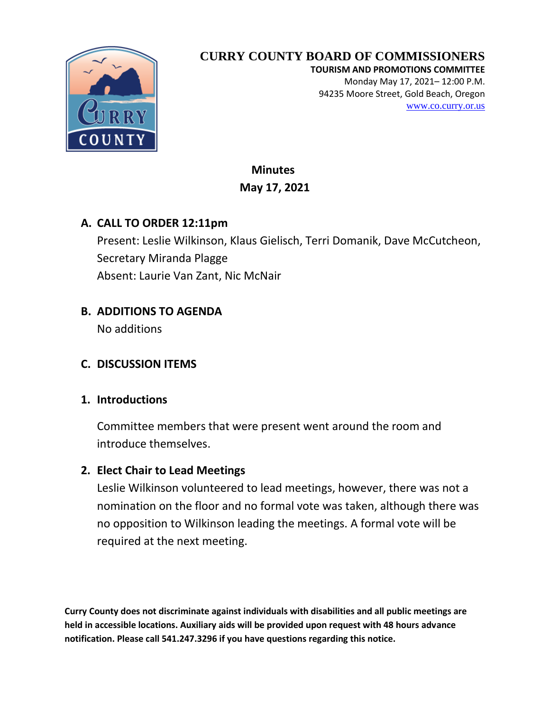

**TOURISM AND PROMOTIONS COMMITTEE** Monday May 17, 2021– 12:00 P.M. 94235 Moore Street, Gold Beach, Oregon [www.co.curry.or.us](http://www.co.curry.or.us/)

 **Minutes May 17, 2021**

## **A. CALL TO ORDER 12:11pm**

Present: Leslie Wilkinson, Klaus Gielisch, Terri Domanik, Dave McCutcheon, Secretary Miranda Plagge Absent: Laurie Van Zant, Nic McNair

## **B. ADDITIONS TO AGENDA**

No additions

### **C. DISCUSSION ITEMS**

### **1. Introductions**

Committee members that were present went around the room and introduce themselves.

### **2. Elect Chair to Lead Meetings**

Leslie Wilkinson volunteered to lead meetings, however, there was not a nomination on the floor and no formal vote was taken, although there was no opposition to Wilkinson leading the meetings. A formal vote will be required at the next meeting.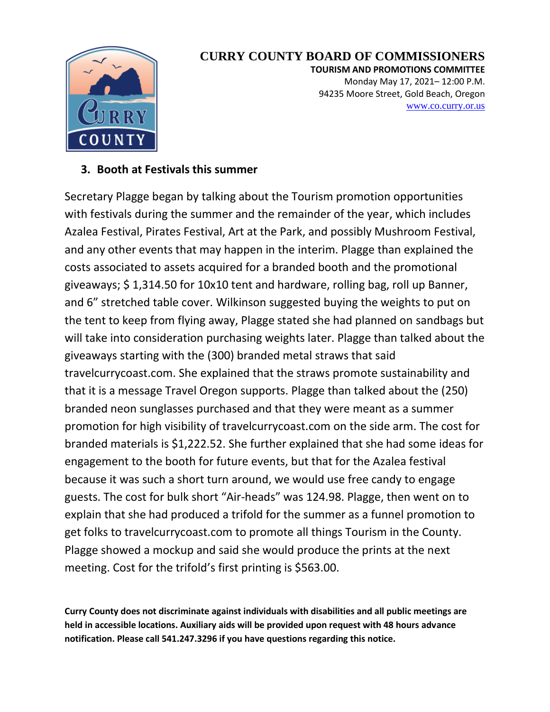

**TOURISM AND PROMOTIONS COMMITTEE** Monday May 17, 2021– 12:00 P.M. 94235 Moore Street, Gold Beach, Oregon [www.co.curry.or.us](http://www.co.curry.or.us/)

#### **3. Booth at Festivals this summer**

Secretary Plagge began by talking about the Tourism promotion opportunities with festivals during the summer and the remainder of the year, which includes Azalea Festival, Pirates Festival, Art at the Park, and possibly Mushroom Festival, and any other events that may happen in the interim. Plagge than explained the costs associated to assets acquired for a branded booth and the promotional giveaways; \$ 1,314.50 for 10x10 tent and hardware, rolling bag, roll up Banner, and 6" stretched table cover. Wilkinson suggested buying the weights to put on the tent to keep from flying away, Plagge stated she had planned on sandbags but will take into consideration purchasing weights later. Plagge than talked about the giveaways starting with the (300) branded metal straws that said travelcurrycoast.com. She explained that the straws promote sustainability and that it is a message Travel Oregon supports. Plagge than talked about the (250) branded neon sunglasses purchased and that they were meant as a summer promotion for high visibility of travelcurrycoast.com on the side arm. The cost for branded materials is \$1,222.52. She further explained that she had some ideas for engagement to the booth for future events, but that for the Azalea festival because it was such a short turn around, we would use free candy to engage guests. The cost for bulk short "Air-heads" was 124.98. Plagge, then went on to explain that she had produced a trifold for the summer as a funnel promotion to get folks to travelcurrycoast.com to promote all things Tourism in the County. Plagge showed a mockup and said she would produce the prints at the next meeting. Cost for the trifold's first printing is \$563.00.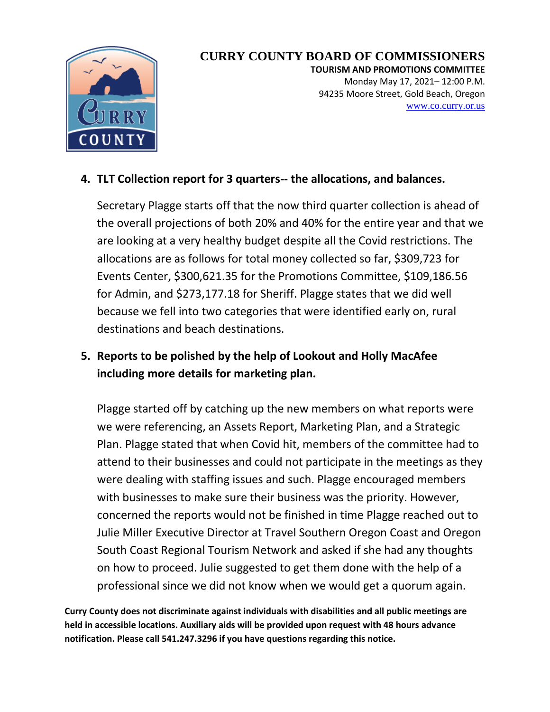

**TOURISM AND PROMOTIONS COMMITTEE** Monday May 17, 2021– 12:00 P.M. 94235 Moore Street, Gold Beach, Oregon [www.co.curry.or.us](http://www.co.curry.or.us/)

## **4. TLT Collection report for 3 quarters-- the allocations, and balances.**

Secretary Plagge starts off that the now third quarter collection is ahead of the overall projections of both 20% and 40% for the entire year and that we are looking at a very healthy budget despite all the Covid restrictions. The allocations are as follows for total money collected so far, \$309,723 for Events Center, \$300,621.35 for the Promotions Committee, \$109,186.56 for Admin, and \$273,177.18 for Sheriff. Plagge states that we did well because we fell into two categories that were identified early on, rural destinations and beach destinations.

## **5. Reports to be polished by the help of Lookout and Holly MacAfee including more details for marketing plan.**

Plagge started off by catching up the new members on what reports were we were referencing, an Assets Report, Marketing Plan, and a Strategic Plan. Plagge stated that when Covid hit, members of the committee had to attend to their businesses and could not participate in the meetings as they were dealing with staffing issues and such. Plagge encouraged members with businesses to make sure their business was the priority. However, concerned the reports would not be finished in time Plagge reached out to Julie Miller Executive Director at Travel Southern Oregon Coast and Oregon South Coast Regional Tourism Network and asked if she had any thoughts on how to proceed. Julie suggested to get them done with the help of a professional since we did not know when we would get a quorum again.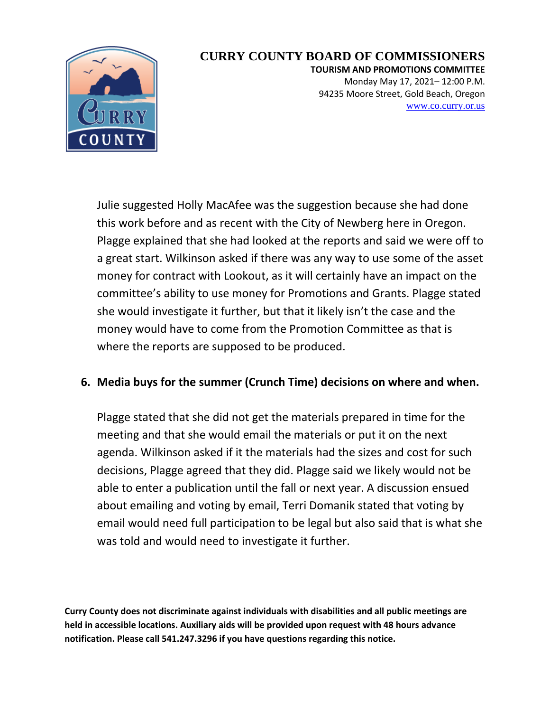

**TOURISM AND PROMOTIONS COMMITTEE** Monday May 17, 2021– 12:00 P.M. 94235 Moore Street, Gold Beach, Oregon [www.co.curry.or.us](http://www.co.curry.or.us/)

Julie suggested Holly MacAfee was the suggestion because she had done this work before and as recent with the City of Newberg here in Oregon. Plagge explained that she had looked at the reports and said we were off to a great start. Wilkinson asked if there was any way to use some of the asset money for contract with Lookout, as it will certainly have an impact on the committee's ability to use money for Promotions and Grants. Plagge stated she would investigate it further, but that it likely isn't the case and the money would have to come from the Promotion Committee as that is where the reports are supposed to be produced.

## **6. Media buys for the summer (Crunch Time) decisions on where and when.**

Plagge stated that she did not get the materials prepared in time for the meeting and that she would email the materials or put it on the next agenda. Wilkinson asked if it the materials had the sizes and cost for such decisions, Plagge agreed that they did. Plagge said we likely would not be able to enter a publication until the fall or next year. A discussion ensued about emailing and voting by email, Terri Domanik stated that voting by email would need full participation to be legal but also said that is what she was told and would need to investigate it further.